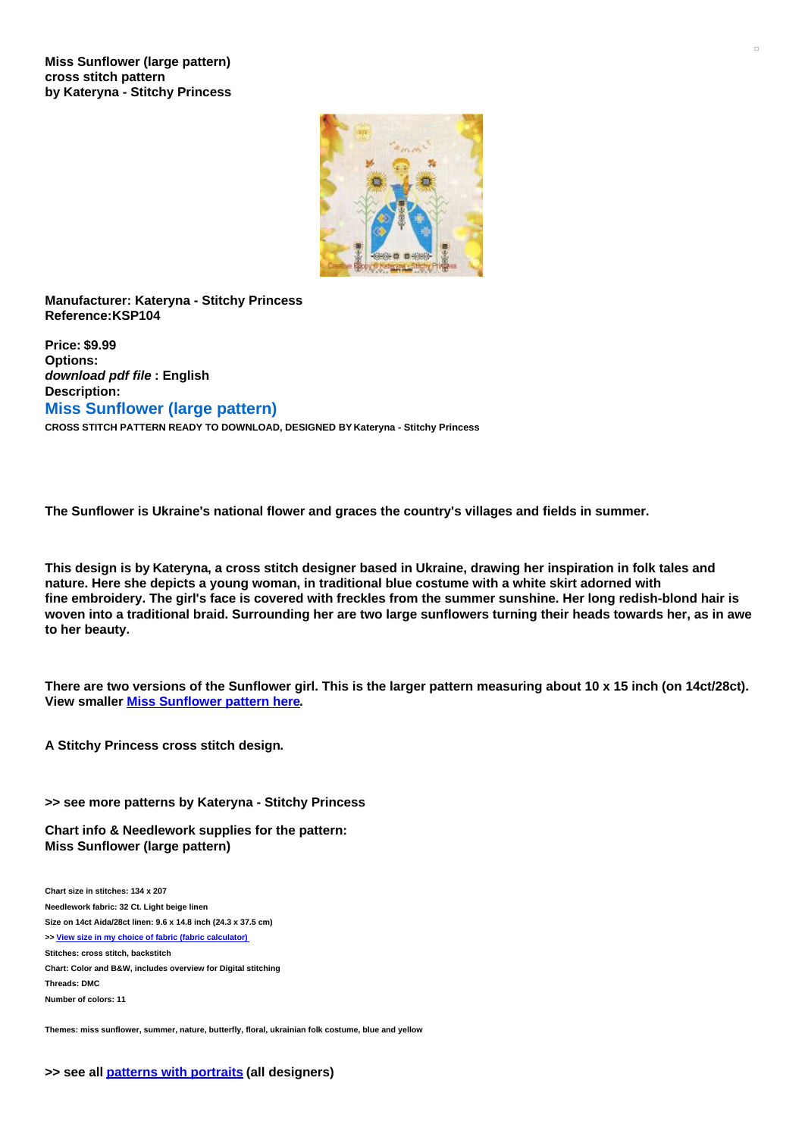**Miss Sunflower (large pattern) cross stitch pattern by Kateryna - Stitchy Princess**



**Manufacturer: Kateryna - Stitchy Princess Reference:KSP104**

**Price: \$9.99 Options:** *download pdf file* **: English Description: Miss Sunflower (large pattern) CROSS STITCH PATTERN READY TO DOWNLOAD, DESIGNED BY Kateryna - Stitchy Princess**

**The Sunflower is Ukraine's national flower and graces the country's villages and fields in summer.**

This design is by Kateryna, a cross stitch designer based in Ukraine, drawing her inspiration in folk tales and **nature. Here she depicts a young woman, in traditional blue costume with a white skirt adorned with** fine embroidery. The girl's face is covered with freckles from the summer sunshine. Her long redish-blond hair is woven into a traditional braid. Surrounding her are two large sunflowers turning their heads towards her, as in awe **to her beauty.**

There are two versions of the Sunflower girl. This is the larger pattern measuring about 10 x 15 inch (on 14ct/28ct). **View smaller Miss [Sunflower](https://www.creativepoppypatterns.com/kateryna-stitchy-princess-miss-sunflower-small-cross-stitch-pattern-xml-296_717-3959.html) pattern here.**

**A Stitchy Princess cross stitch design.**

**>> see more patterns by Kateryna - Stitchy Princess**

**Chart info & Needlework supplies for the pattern: Miss Sunflower (large pattern)**

**Chart size in stitches: 134 x 207 Needlework fabric: 32 Ct. Light beige linen Size on 14ct Aida/28ct linen: 9.6 x 14.8 inch (24.3 x 37.5 cm) >> View size in my choice of fabric (fabric [calculator\)](https://www.creativepoppypatterns.com/calculette-de-toile.php?products_id=3958&w=134&h=207) Stitches: cross stitch, backstitch Chart: Color and B&W, includes overview for Digital stitching Threads: DMC Number of colors: 11**

**Themes: miss sunflower, summer, nature, butterfly, floral, ukrainian folk costume, blue and yellow**